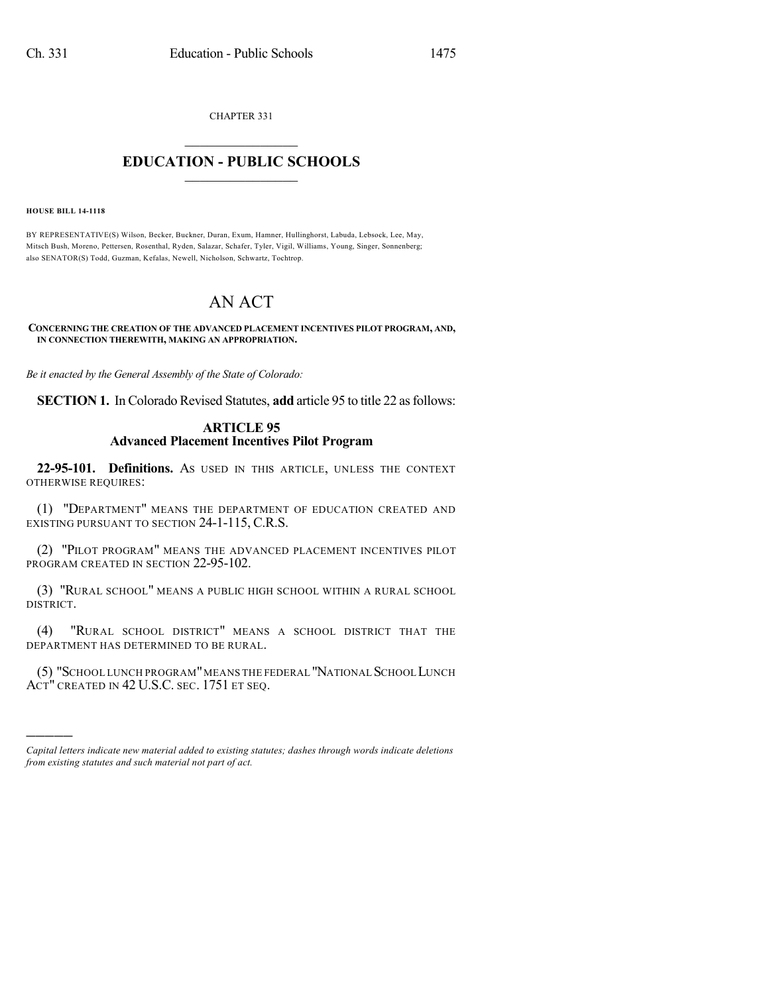CHAPTER 331

## $\mathcal{L}_\text{max}$  . The set of the set of the set of the set of the set of the set of the set of the set of the set of the set of the set of the set of the set of the set of the set of the set of the set of the set of the set **EDUCATION - PUBLIC SCHOOLS**  $\_$   $\_$   $\_$   $\_$   $\_$   $\_$   $\_$   $\_$   $\_$

**HOUSE BILL 14-1118**

)))))

BY REPRESENTATIVE(S) Wilson, Becker, Buckner, Duran, Exum, Hamner, Hullinghorst, Labuda, Lebsock, Lee, May, Mitsch Bush, Moreno, Pettersen, Rosenthal, Ryden, Salazar, Schafer, Tyler, Vigil, Williams, Young, Singer, Sonnenberg; also SENATOR(S) Todd, Guzman, Kefalas, Newell, Nicholson, Schwartz, Tochtrop.

## AN ACT

**CONCERNING THE CREATION OF THE ADVANCED PLACEMENT INCENTIVES PILOT PROGRAM, AND, IN CONNECTION THEREWITH, MAKING AN APPROPRIATION.**

*Be it enacted by the General Assembly of the State of Colorado:*

**SECTION 1.** In Colorado Revised Statutes, add article 95 to title 22 as follows:

## **ARTICLE 95 Advanced Placement Incentives Pilot Program**

**22-95-101. Definitions.** AS USED IN THIS ARTICLE, UNLESS THE CONTEXT OTHERWISE REQUIRES:

(1) "DEPARTMENT" MEANS THE DEPARTMENT OF EDUCATION CREATED AND EXISTING PURSUANT TO SECTION 24-1-115, C.R.S.

(2) "PILOT PROGRAM" MEANS THE ADVANCED PLACEMENT INCENTIVES PILOT PROGRAM CREATED IN SECTION 22-95-102.

(3) "RURAL SCHOOL" MEANS A PUBLIC HIGH SCHOOL WITHIN A RURAL SCHOOL DISTRICT.

(4) "RURAL SCHOOL DISTRICT" MEANS A SCHOOL DISTRICT THAT THE DEPARTMENT HAS DETERMINED TO BE RURAL.

(5) "SCHOOL LUNCH PROGRAM"MEANS THE FEDERAL "NATIONAL SCHOOL LUNCH ACT" CREATED IN 42 U.S.C. SEC. 1751 ET SEQ.

*Capital letters indicate new material added to existing statutes; dashes through words indicate deletions from existing statutes and such material not part of act.*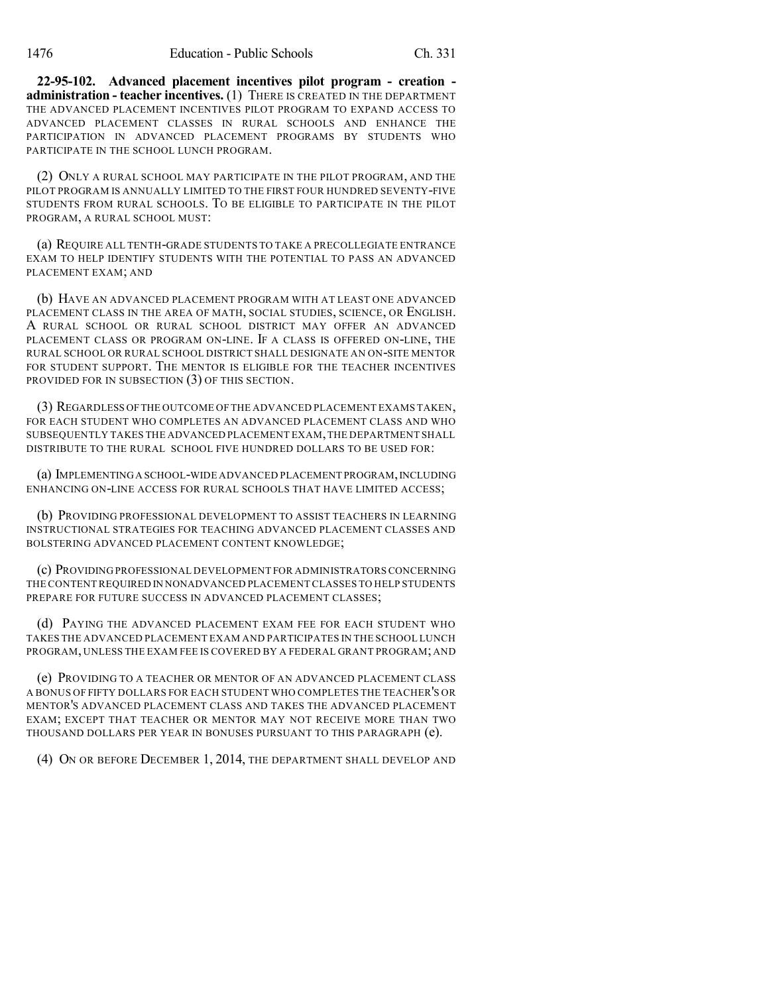**22-95-102. Advanced placement incentives pilot program - creation administration - teacher incentives.** (1) THERE IS CREATED IN THE DEPARTMENT THE ADVANCED PLACEMENT INCENTIVES PILOT PROGRAM TO EXPAND ACCESS TO ADVANCED PLACEMENT CLASSES IN RURAL SCHOOLS AND ENHANCE THE PARTICIPATION IN ADVANCED PLACEMENT PROGRAMS BY STUDENTS WHO PARTICIPATE IN THE SCHOOL LUNCH PROGRAM.

(2) ONLY A RURAL SCHOOL MAY PARTICIPATE IN THE PILOT PROGRAM, AND THE PILOT PROGRAM IS ANNUALLY LIMITED TO THE FIRST FOUR HUNDRED SEVENTY-FIVE STUDENTS FROM RURAL SCHOOLS. TO BE ELIGIBLE TO PARTICIPATE IN THE PILOT PROGRAM, A RURAL SCHOOL MUST:

(a) REQUIRE ALL TENTH-GRADE STUDENTS TO TAKE A PRECOLLEGIATE ENTRANCE EXAM TO HELP IDENTIFY STUDENTS WITH THE POTENTIAL TO PASS AN ADVANCED PLACEMENT EXAM; AND

(b) HAVE AN ADVANCED PLACEMENT PROGRAM WITH AT LEAST ONE ADVANCED PLACEMENT CLASS IN THE AREA OF MATH, SOCIAL STUDIES, SCIENCE, OR ENGLISH. A RURAL SCHOOL OR RURAL SCHOOL DISTRICT MAY OFFER AN ADVANCED PLACEMENT CLASS OR PROGRAM ON-LINE. IF A CLASS IS OFFERED ON-LINE, THE RURAL SCHOOL OR RURAL SCHOOL DISTRICT SHALL DESIGNATE AN ON-SITE MENTOR FOR STUDENT SUPPORT. THE MENTOR IS ELIGIBLE FOR THE TEACHER INCENTIVES PROVIDED FOR IN SUBSECTION (3) OF THIS SECTION.

(3) REGARDLESS OFTHE OUTCOME OF THE ADVANCED PLACEMENT EXAMS TAKEN, FOR EACH STUDENT WHO COMPLETES AN ADVANCED PLACEMENT CLASS AND WHO SUBSEQUENTLY TAKES THE ADVANCED PLACEMENT EXAM,THE DEPARTMENT SHALL DISTRIBUTE TO THE RURAL SCHOOL FIVE HUNDRED DOLLARS TO BE USED FOR:

(a) IMPLEMENTINGA SCHOOL-WIDE ADVANCED PLACEMENT PROGRAM,INCLUDING ENHANCING ON-LINE ACCESS FOR RURAL SCHOOLS THAT HAVE LIMITED ACCESS;

(b) PROVIDING PROFESSIONAL DEVELOPMENT TO ASSIST TEACHERS IN LEARNING INSTRUCTIONAL STRATEGIES FOR TEACHING ADVANCED PLACEMENT CLASSES AND BOLSTERING ADVANCED PLACEMENT CONTENT KNOWLEDGE;

(c) PROVIDINGPROFESSIONAL DEVELOPMENT FOR ADMINISTRATORSCONCERNING THE CONTENT REQUIRED IN NONADVANCED PLACEMENT CLASSES TO HELP STUDENTS PREPARE FOR FUTURE SUCCESS IN ADVANCED PLACEMENT CLASSES;

(d) PAYING THE ADVANCED PLACEMENT EXAM FEE FOR EACH STUDENT WHO TAKES THE ADVANCED PLACEMENT EXAM AND PARTICIPATES IN THE SCHOOL LUNCH PROGRAM, UNLESS THE EXAM FEE IS COVERED BY A FEDERAL GRANT PROGRAM; AND

(e) PROVIDING TO A TEACHER OR MENTOR OF AN ADVANCED PLACEMENT CLASS A BONUS OF FIFTY DOLLARS FOR EACH STUDENT WHO COMPLETES THE TEACHER'S OR MENTOR'S ADVANCED PLACEMENT CLASS AND TAKES THE ADVANCED PLACEMENT EXAM; EXCEPT THAT TEACHER OR MENTOR MAY NOT RECEIVE MORE THAN TWO THOUSAND DOLLARS PER YEAR IN BONUSES PURSUANT TO THIS PARAGRAPH (e).

(4) ON OR BEFORE DECEMBER 1, 2014, THE DEPARTMENT SHALL DEVELOP AND